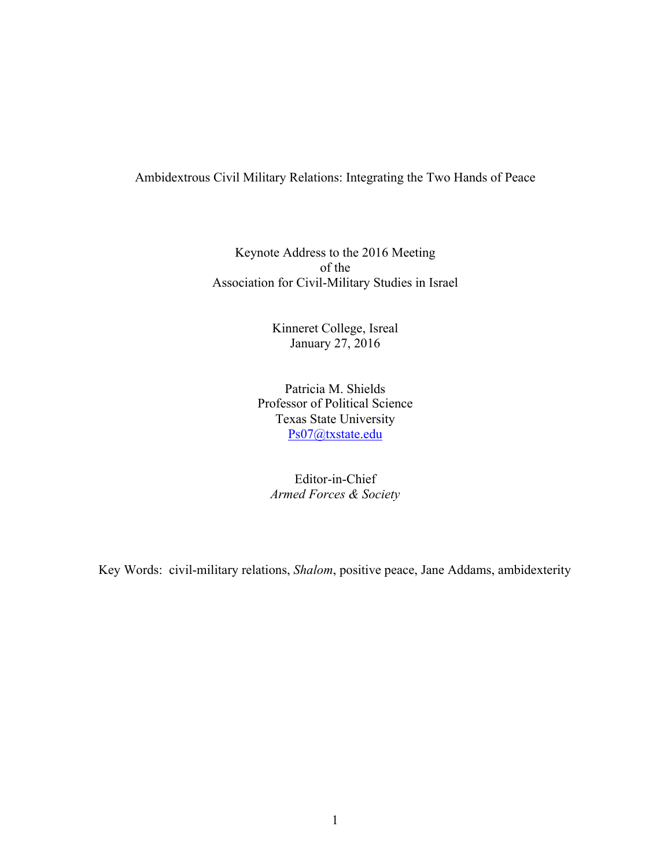# Ambidextrous Civil Military Relations: Integrating the Two Hands of Peace

Keynote Address to the 2016 Meeting of the Association for Civil-Military Studies in Israel

> Kinneret College, Isreal January 27, 2016

Patricia M. Shields Professor of Political Science Texas State University Ps07@txstate.edu

Editor-in-Chief *Armed Forces & Society*

Key Words: civil-military relations, *Shalom*, positive peace, Jane Addams, ambidexterity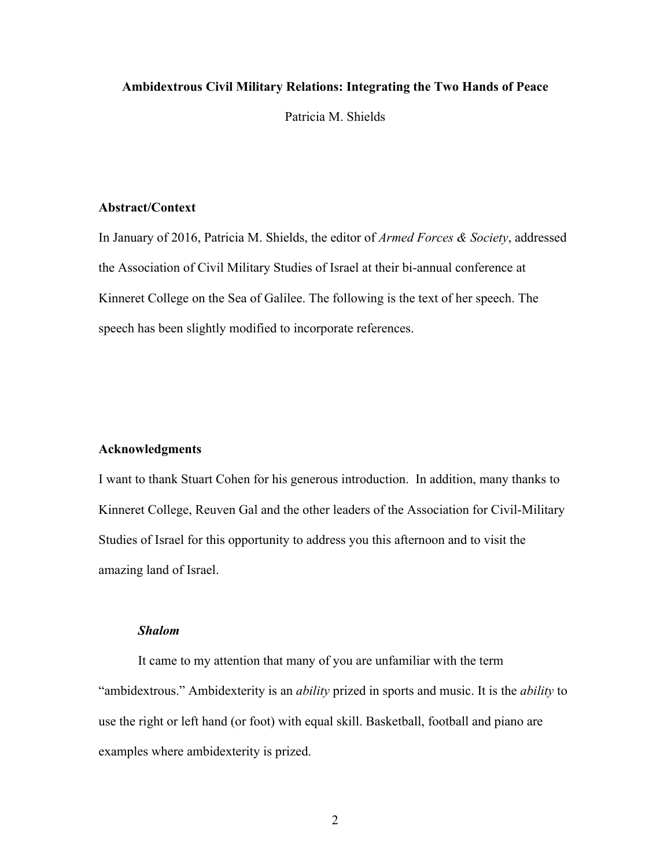# **Ambidextrous Civil Military Relations: Integrating the Two Hands of Peace**

Patricia M. Shields

# **Abstract/Context**

In January of 2016, Patricia M. Shields, the editor of *Armed Forces & Society*, addressed the Association of Civil Military Studies of Israel at their bi-annual conference at Kinneret College on the Sea of Galilee. The following is the text of her speech. The speech has been slightly modified to incorporate references.

# **Acknowledgments**

I want to thank Stuart Cohen for his generous introduction. In addition, many thanks to Kinneret College, Reuven Gal and the other leaders of the Association for Civil-Military Studies of Israel for this opportunity to address you this afternoon and to visit the amazing land of Israel.

# *Shalom*

It came to my attention that many of you are unfamiliar with the term "ambidextrous." Ambidexterity is an *ability* prized in sports and music. It is the *ability* to use the right or left hand (or foot) with equal skill. Basketball, football and piano are examples where ambidexterity is prized.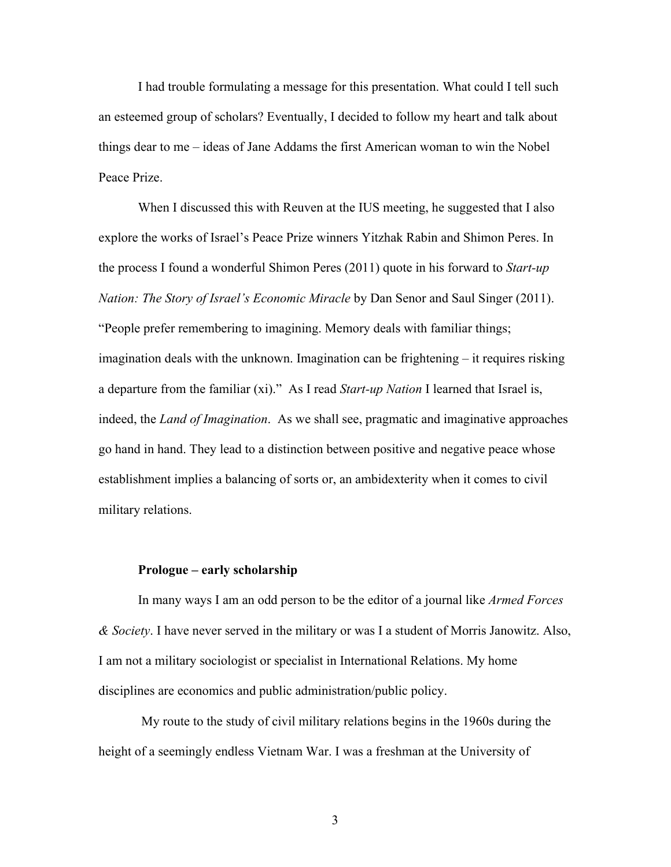I had trouble formulating a message for this presentation. What could I tell such an esteemed group of scholars? Eventually, I decided to follow my heart and talk about things dear to me – ideas of Jane Addams the first American woman to win the Nobel Peace Prize.

When I discussed this with Reuven at the IUS meeting, he suggested that I also explore the works of Israel's Peace Prize winners Yitzhak Rabin and Shimon Peres. In the process I found a wonderful Shimon Peres (2011) quote in his forward to *Start-up Nation: The Story of Israel's Economic Miracle* by Dan Senor and Saul Singer (2011). "People prefer remembering to imagining. Memory deals with familiar things; imagination deals with the unknown. Imagination can be frightening – it requires risking a departure from the familiar (xi)." As I read *Start-up Nation* I learned that Israel is, indeed, the *Land of Imagination*. As we shall see, pragmatic and imaginative approaches go hand in hand. They lead to a distinction between positive and negative peace whose establishment implies a balancing of sorts or, an ambidexterity when it comes to civil military relations.

# **Prologue – early scholarship**

In many ways I am an odd person to be the editor of a journal like *Armed Forces & Society*. I have never served in the military or was I a student of Morris Janowitz. Also, I am not a military sociologist or specialist in International Relations. My home disciplines are economics and public administration/public policy.

My route to the study of civil military relations begins in the 1960s during the height of a seemingly endless Vietnam War. I was a freshman at the University of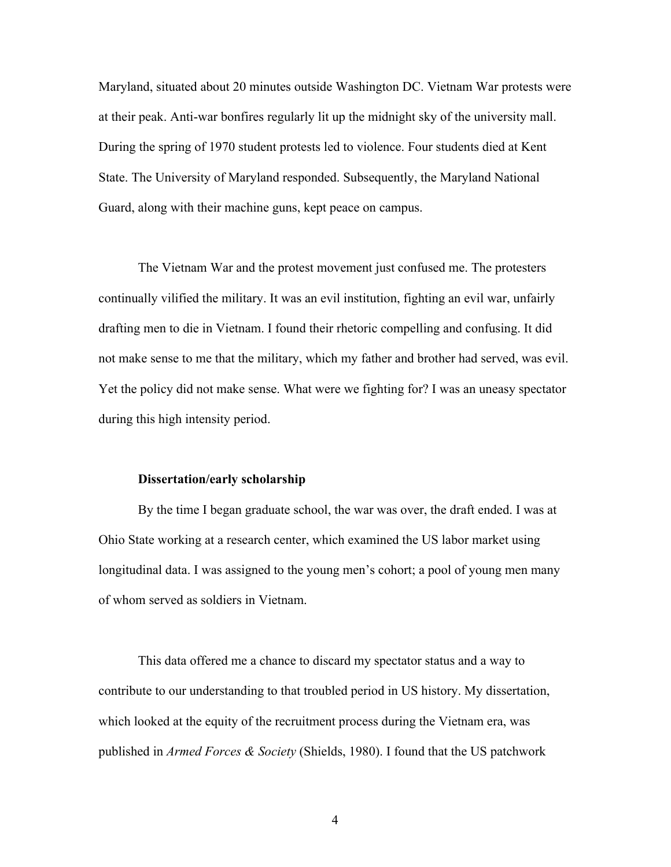Maryland, situated about 20 minutes outside Washington DC. Vietnam War protests were at their peak. Anti-war bonfires regularly lit up the midnight sky of the university mall. During the spring of 1970 student protests led to violence. Four students died at Kent State. The University of Maryland responded. Subsequently, the Maryland National Guard, along with their machine guns, kept peace on campus.

The Vietnam War and the protest movement just confused me. The protesters continually vilified the military. It was an evil institution, fighting an evil war, unfairly drafting men to die in Vietnam. I found their rhetoric compelling and confusing. It did not make sense to me that the military, which my father and brother had served, was evil. Yet the policy did not make sense. What were we fighting for? I was an uneasy spectator during this high intensity period.

#### **Dissertation/early scholarship**

By the time I began graduate school, the war was over, the draft ended. I was at Ohio State working at a research center, which examined the US labor market using longitudinal data. I was assigned to the young men's cohort; a pool of young men many of whom served as soldiers in Vietnam.

This data offered me a chance to discard my spectator status and a way to contribute to our understanding to that troubled period in US history. My dissertation, which looked at the equity of the recruitment process during the Vietnam era, was published in *Armed Forces & Society* (Shields, 1980). I found that the US patchwork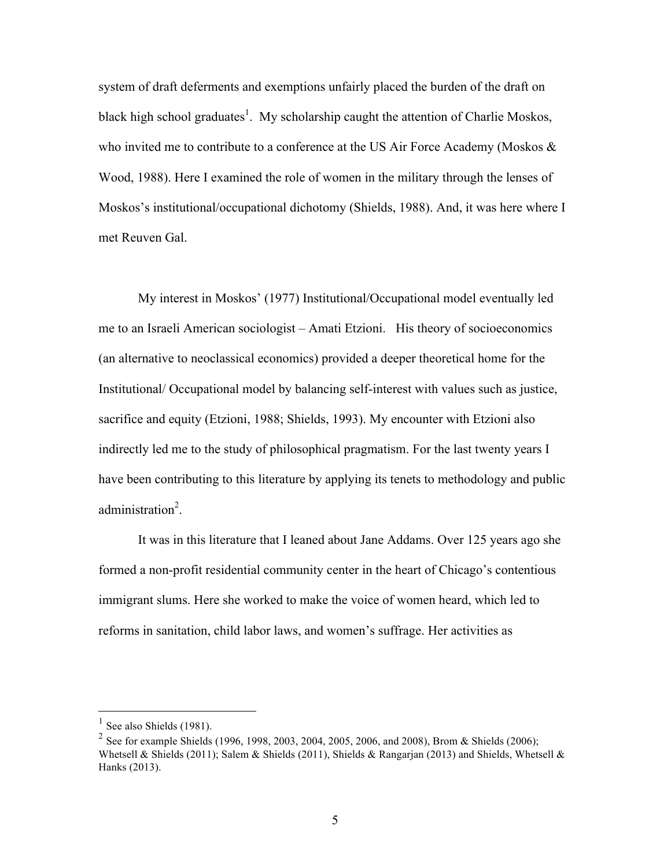system of draft deferments and exemptions unfairly placed the burden of the draft on black high school graduates<sup>1</sup>. My scholarship caught the attention of Charlie Moskos, who invited me to contribute to a conference at the US Air Force Academy (Moskos & Wood, 1988). Here I examined the role of women in the military through the lenses of Moskos's institutional/occupational dichotomy (Shields, 1988). And, it was here where I met Reuven Gal.

My interest in Moskos' (1977) Institutional/Occupational model eventually led me to an Israeli American sociologist – Amati Etzioni. His theory of socioeconomics (an alternative to neoclassical economics) provided a deeper theoretical home for the Institutional/ Occupational model by balancing self-interest with values such as justice, sacrifice and equity (Etzioni, 1988; Shields, 1993). My encounter with Etzioni also indirectly led me to the study of philosophical pragmatism. For the last twenty years I have been contributing to this literature by applying its tenets to methodology and public administration<sup>2</sup>.

It was in this literature that I leaned about Jane Addams. Over 125 years ago she formed a non-profit residential community center in the heart of Chicago's contentious immigrant slums. Here she worked to make the voice of women heard, which led to reforms in sanitation, child labor laws, and women's suffrage. Her activities as

See also Shields (1981).

<sup>&</sup>lt;sup>2</sup> See for example Shields (1996, 1998, 2003, 2004, 2005, 2006, and 2008), Brom & Shields (2006); Whetsell & Shields (2011); Salem & Shields (2011), Shields & Rangarjan (2013) and Shields, Whetsell & Hanks (2013).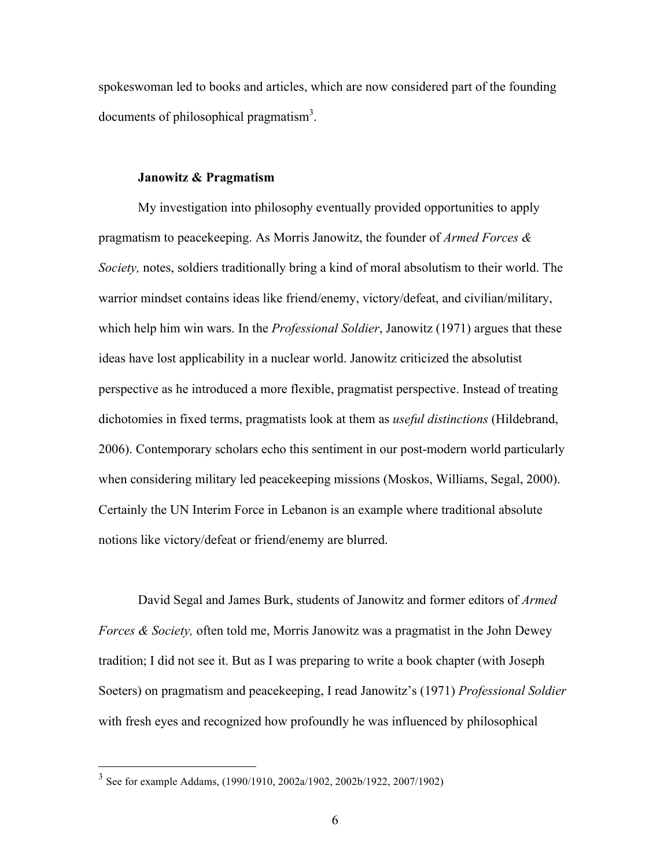spokeswoman led to books and articles, which are now considered part of the founding documents of philosophical pragmatism<sup>3</sup>.

# **Janowitz & Pragmatism**

My investigation into philosophy eventually provided opportunities to apply pragmatism to peacekeeping. As Morris Janowitz, the founder of *Armed Forces & Society,* notes, soldiers traditionally bring a kind of moral absolutism to their world. The warrior mindset contains ideas like friend/enemy, victory/defeat, and civilian/military, which help him win wars. In the *Professional Soldier*, Janowitz (1971) argues that these ideas have lost applicability in a nuclear world. Janowitz criticized the absolutist perspective as he introduced a more flexible, pragmatist perspective. Instead of treating dichotomies in fixed terms, pragmatists look at them as *useful distinctions* (Hildebrand, 2006). Contemporary scholars echo this sentiment in our post-modern world particularly when considering military led peacekeeping missions (Moskos, Williams, Segal, 2000). Certainly the UN Interim Force in Lebanon is an example where traditional absolute notions like victory/defeat or friend/enemy are blurred.

David Segal and James Burk, students of Janowitz and former editors of *Armed Forces & Society,* often told me, Morris Janowitz was a pragmatist in the John Dewey tradition; I did not see it. But as I was preparing to write a book chapter (with Joseph Soeters) on pragmatism and peacekeeping, I read Janowitz's (1971) *Professional Soldier* with fresh eyes and recognized how profoundly he was influenced by philosophical

 <sup>3</sup> See for example Addams, (1990/1910, 2002a/1902, 2002b/1922, 2007/1902)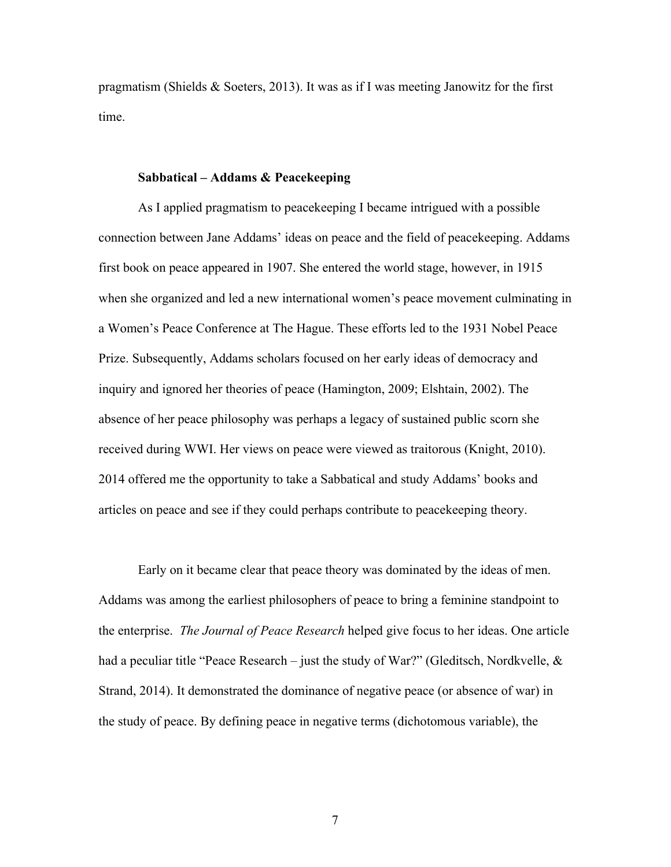pragmatism (Shields  $\&$  Soeters, 2013). It was as if I was meeting Janowitz for the first time.

### **Sabbatical – Addams & Peacekeeping**

As I applied pragmatism to peacekeeping I became intrigued with a possible connection between Jane Addams' ideas on peace and the field of peacekeeping. Addams first book on peace appeared in 1907. She entered the world stage, however, in 1915 when she organized and led a new international women's peace movement culminating in a Women's Peace Conference at The Hague. These efforts led to the 1931 Nobel Peace Prize. Subsequently, Addams scholars focused on her early ideas of democracy and inquiry and ignored her theories of peace (Hamington, 2009; Elshtain, 2002). The absence of her peace philosophy was perhaps a legacy of sustained public scorn she received during WWI. Her views on peace were viewed as traitorous (Knight, 2010). 2014 offered me the opportunity to take a Sabbatical and study Addams' books and articles on peace and see if they could perhaps contribute to peacekeeping theory.

Early on it became clear that peace theory was dominated by the ideas of men. Addams was among the earliest philosophers of peace to bring a feminine standpoint to the enterprise. *The Journal of Peace Research* helped give focus to her ideas. One article had a peculiar title "Peace Research – just the study of War?" (Gleditsch, Nordkvelle, & Strand, 2014). It demonstrated the dominance of negative peace (or absence of war) in the study of peace. By defining peace in negative terms (dichotomous variable), the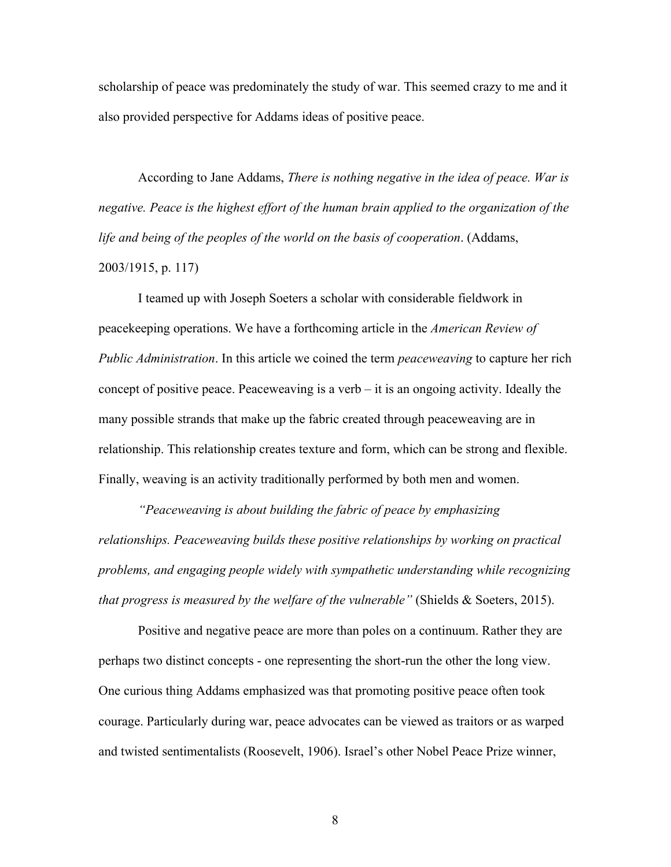scholarship of peace was predominately the study of war. This seemed crazy to me and it also provided perspective for Addams ideas of positive peace.

According to Jane Addams, *There is nothing negative in the idea of peace. War is negative. Peace is the highest effort of the human brain applied to the organization of the life and being of the peoples of the world on the basis of cooperation*. (Addams, 2003/1915, p. 117)

I teamed up with Joseph Soeters a scholar with considerable fieldwork in peacekeeping operations. We have a forthcoming article in the *American Review of Public Administration*. In this article we coined the term *peaceweaving* to capture her rich concept of positive peace. Peaceweaving is a verb – it is an ongoing activity. Ideally the many possible strands that make up the fabric created through peaceweaving are in relationship. This relationship creates texture and form, which can be strong and flexible. Finally, weaving is an activity traditionally performed by both men and women.

*"Peaceweaving is about building the fabric of peace by emphasizing relationships. Peaceweaving builds these positive relationships by working on practical problems, and engaging people widely with sympathetic understanding while recognizing that progress is measured by the welfare of the vulnerable"* (Shields & Soeters, 2015).

Positive and negative peace are more than poles on a continuum. Rather they are perhaps two distinct concepts - one representing the short-run the other the long view. One curious thing Addams emphasized was that promoting positive peace often took courage. Particularly during war, peace advocates can be viewed as traitors or as warped and twisted sentimentalists (Roosevelt, 1906). Israel's other Nobel Peace Prize winner,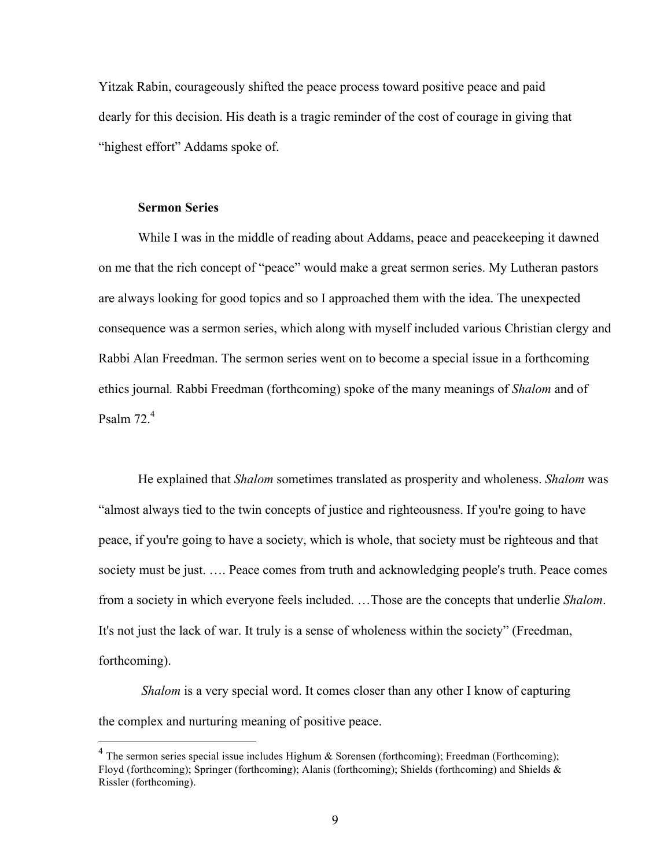Yitzak Rabin, courageously shifted the peace process toward positive peace and paid dearly for this decision. His death is a tragic reminder of the cost of courage in giving that "highest effort" Addams spoke of.

#### **Sermon Series**

While I was in the middle of reading about Addams, peace and peacekeeping it dawned on me that the rich concept of "peace" would make a great sermon series. My Lutheran pastors are always looking for good topics and so I approached them with the idea. The unexpected consequence was a sermon series, which along with myself included various Christian clergy and Rabbi Alan Freedman. The sermon series went on to become a special issue in a forthcoming ethics journal*.* Rabbi Freedman (forthcoming) spoke of the many meanings of *Shalom* and of Psalm 72. 4

He explained that *Shalom* sometimes translated as prosperity and wholeness. *Shalom* was "almost always tied to the twin concepts of justice and righteousness. If you're going to have peace, if you're going to have a society, which is whole, that society must be righteous and that society must be just. …. Peace comes from truth and acknowledging people's truth. Peace comes from a society in which everyone feels included. …Those are the concepts that underlie *Shalom*. It's not just the lack of war. It truly is a sense of wholeness within the society" (Freedman, forthcoming).

*Shalom* is a very special word. It comes closer than any other I know of capturing the complex and nurturing meaning of positive peace.

<sup>&</sup>lt;sup>4</sup> The sermon series special issue includes Highum & Sorensen (forthcoming); Freedman (Forthcoming); Floyd (forthcoming); Springer (forthcoming); Alanis (forthcoming); Shields (forthcoming) and Shields & Rissler (forthcoming).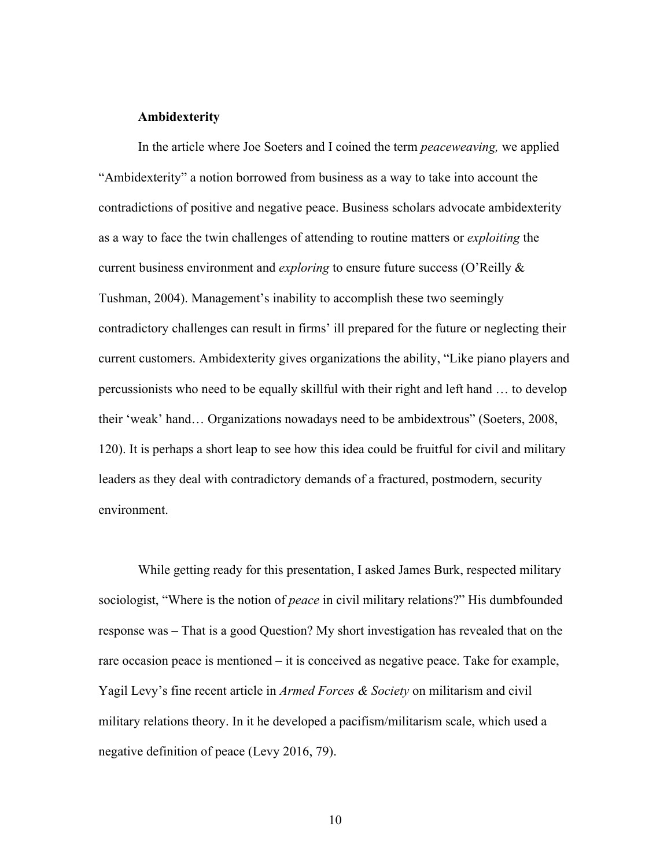### **Ambidexterity**

In the article where Joe Soeters and I coined the term *peaceweaving,* we applied "Ambidexterity" a notion borrowed from business as a way to take into account the contradictions of positive and negative peace. Business scholars advocate ambidexterity as a way to face the twin challenges of attending to routine matters or *exploiting* the current business environment and *exploring* to ensure future success (O'Reilly & Tushman, 2004). Management's inability to accomplish these two seemingly contradictory challenges can result in firms' ill prepared for the future or neglecting their current customers. Ambidexterity gives organizations the ability, "Like piano players and percussionists who need to be equally skillful with their right and left hand … to develop their 'weak' hand… Organizations nowadays need to be ambidextrous" (Soeters, 2008, 120). It is perhaps a short leap to see how this idea could be fruitful for civil and military leaders as they deal with contradictory demands of a fractured, postmodern, security environment.

While getting ready for this presentation, I asked James Burk, respected military sociologist, "Where is the notion of *peace* in civil military relations?" His dumbfounded response was – That is a good Question? My short investigation has revealed that on the rare occasion peace is mentioned – it is conceived as negative peace. Take for example, Yagil Levy's fine recent article in *Armed Forces & Society* on militarism and civil military relations theory. In it he developed a pacifism/militarism scale, which used a negative definition of peace (Levy 2016, 79).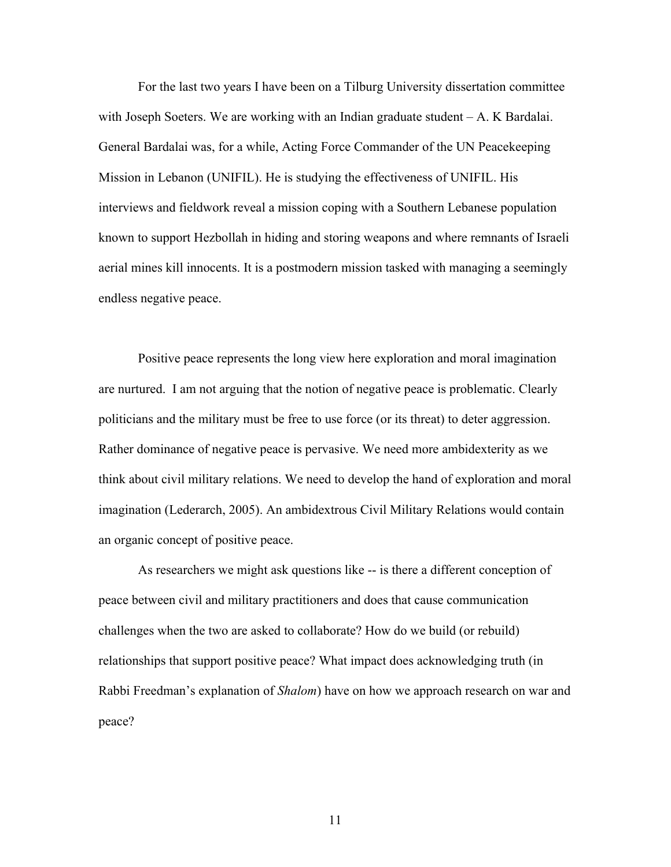For the last two years I have been on a Tilburg University dissertation committee with Joseph Soeters. We are working with an Indian graduate student – A. K Bardalai. General Bardalai was, for a while, Acting Force Commander of the UN Peacekeeping Mission in Lebanon (UNIFIL). He is studying the effectiveness of UNIFIL. His interviews and fieldwork reveal a mission coping with a Southern Lebanese population known to support Hezbollah in hiding and storing weapons and where remnants of Israeli aerial mines kill innocents. It is a postmodern mission tasked with managing a seemingly endless negative peace.

Positive peace represents the long view here exploration and moral imagination are nurtured. I am not arguing that the notion of negative peace is problematic. Clearly politicians and the military must be free to use force (or its threat) to deter aggression. Rather dominance of negative peace is pervasive. We need more ambidexterity as we think about civil military relations. We need to develop the hand of exploration and moral imagination (Lederarch, 2005). An ambidextrous Civil Military Relations would contain an organic concept of positive peace.

As researchers we might ask questions like -- is there a different conception of peace between civil and military practitioners and does that cause communication challenges when the two are asked to collaborate? How do we build (or rebuild) relationships that support positive peace? What impact does acknowledging truth (in Rabbi Freedman's explanation of *Shalom*) have on how we approach research on war and peace?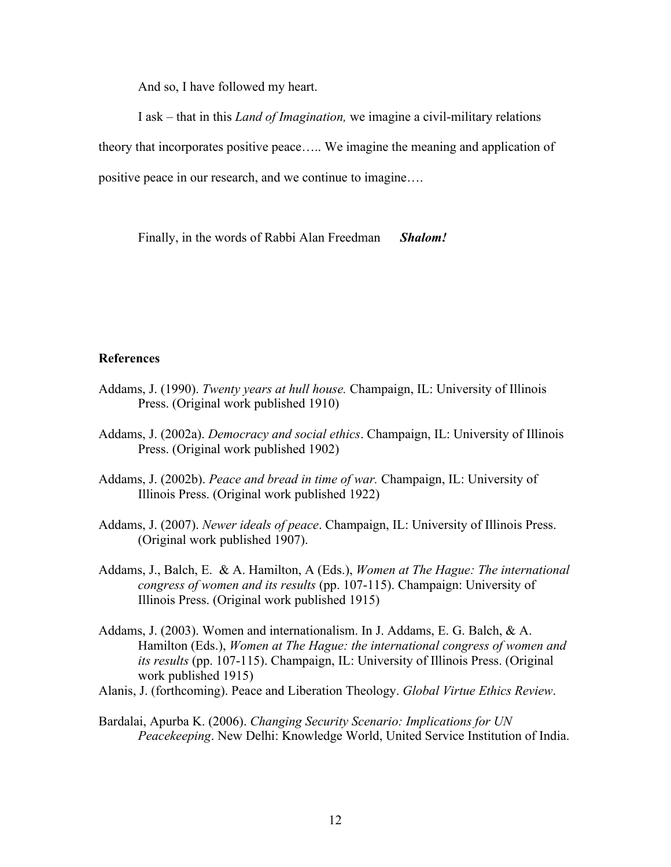And so, I have followed my heart.

I ask – that in this *Land of Imagination,* we imagine a civil-military relations theory that incorporates positive peace….. We imagine the meaning and application of positive peace in our research, and we continue to imagine….

Finally, in the words of Rabbi Alan Freedman *Shalom!*

# **References**

- Addams, J. (1990). *Twenty years at hull house.* Champaign, IL: University of Illinois Press. (Original work published 1910)
- Addams, J. (2002a). *Democracy and social ethics*. Champaign, IL: University of Illinois Press. (Original work published 1902)
- Addams, J. (2002b). *Peace and bread in time of war.* Champaign, IL: University of Illinois Press. (Original work published 1922)
- Addams, J. (2007). *Newer ideals of peace*. Champaign, IL: University of Illinois Press. (Original work published 1907).
- Addams, J., Balch, E. & A. Hamilton, A (Eds.), *Women at The Hague: The international congress of women and its results* (pp. 107-115). Champaign: University of Illinois Press. (Original work published 1915)
- Addams, J. (2003). Women and internationalism. In J. Addams, E. G. Balch, & A. Hamilton (Eds.), *Women at The Hague: the international congress of women and its results* (pp. 107-115). Champaign, IL: University of Illinois Press. (Original work published 1915)
- Alanis, J. (forthcoming). Peace and Liberation Theology. *Global Virtue Ethics Review*.
- Bardalai, Apurba K. (2006). *Changing Security Scenario: Implications for UN Peacekeeping*. New Delhi: Knowledge World, United Service Institution of India.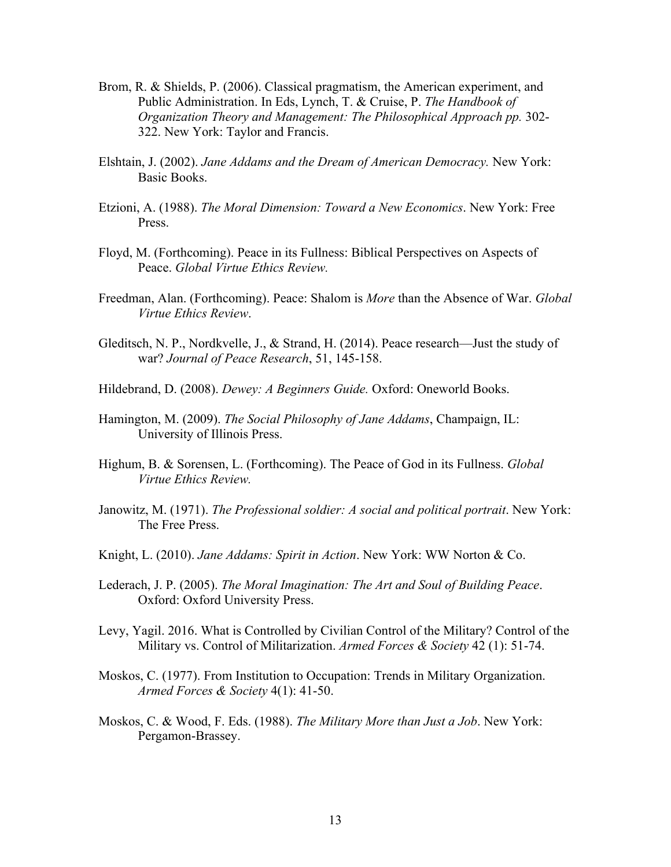- Brom, R. & Shields, P. (2006). Classical pragmatism, the American experiment, and Public Administration. In Eds, Lynch, T. & Cruise, P. *The Handbook of Organization Theory and Management: The Philosophical Approach pp.* 302- 322. New York: Taylor and Francis.
- Elshtain, J. (2002). *Jane Addams and the Dream of American Democracy.* New York: Basic Books.
- Etzioni, A. (1988). *The Moral Dimension: Toward a New Economics*. New York: Free Press.
- Floyd, M. (Forthcoming). Peace in its Fullness: Biblical Perspectives on Aspects of Peace. *Global Virtue Ethics Review.*
- Freedman, Alan. (Forthcoming). Peace: Shalom is *More* than the Absence of War. *Global Virtue Ethics Review*.
- Gleditsch, N. P., Nordkvelle, J., & Strand, H. (2014). Peace research—Just the study of war? *Journal of Peace Research*, 51, 145-158.
- Hildebrand, D. (2008). *Dewey: A Beginners Guide.* Oxford: Oneworld Books.
- Hamington, M. (2009). *The Social Philosophy of Jane Addams*, Champaign, IL: University of Illinois Press.
- Highum, B. & Sorensen, L. (Forthcoming). The Peace of God in its Fullness. *Global Virtue Ethics Review.*
- Janowitz, M. (1971). *The Professional soldier: A social and political portrait*. New York: The Free Press.
- Knight, L. (2010). *Jane Addams: Spirit in Action*. New York: WW Norton & Co.
- Lederach, J. P. (2005). *The Moral Imagination: The Art and Soul of Building Peace*. Oxford: Oxford University Press.
- Levy, Yagil. 2016. What is Controlled by Civilian Control of the Military? Control of the Military vs. Control of Militarization. *Armed Forces & Society* 42 (1): 51-74.
- Moskos, C. (1977). From Institution to Occupation: Trends in Military Organization. *Armed Forces & Society* 4(1): 41-50.
- Moskos, C. & Wood, F. Eds. (1988). *The Military More than Just a Job*. New York: Pergamon-Brassey.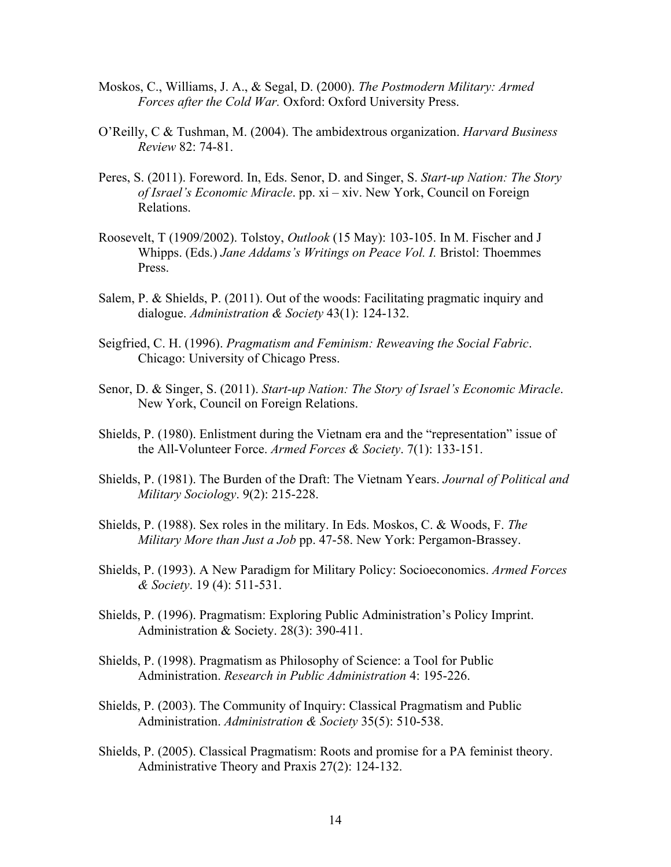- Moskos, C., Williams, J. A., & Segal, D. (2000). *The Postmodern Military: Armed Forces after the Cold War.* Oxford: Oxford University Press.
- O'Reilly, C & Tushman, M. (2004). The ambidextrous organization. *Harvard Business Review* 82: 74-81.
- Peres, S. (2011). Foreword. In, Eds. Senor, D. and Singer, S. *Start-up Nation: The Story of Israel's Economic Miracle*. pp. xi – xiv. New York, Council on Foreign Relations.
- Roosevelt, T (1909/2002). Tolstoy, *Outlook* (15 May): 103-105. In M. Fischer and J Whipps. (Eds.) *Jane Addams's Writings on Peace Vol. I.* Bristol: Thoemmes Press.
- Salem, P. & Shields, P. (2011). Out of the woods: Facilitating pragmatic inquiry and dialogue. *Administration & Society* 43(1): 124-132.
- Seigfried, C. H. (1996). *Pragmatism and Feminism: Reweaving the Social Fabric*. Chicago: University of Chicago Press.
- Senor, D. & Singer, S. (2011). *Start-up Nation: The Story of Israel's Economic Miracle*. New York, Council on Foreign Relations.
- Shields, P. (1980). Enlistment during the Vietnam era and the "representation" issue of the All-Volunteer Force. *Armed Forces & Society*. 7(1): 133-151.
- Shields, P. (1981). The Burden of the Draft: The Vietnam Years. *Journal of Political and Military Sociology*. 9(2): 215-228.
- Shields, P. (1988). Sex roles in the military. In Eds. Moskos, C. & Woods, F. *The Military More than Just a Job* pp. 47-58. New York: Pergamon-Brassey.
- Shields, P. (1993). A New Paradigm for Military Policy: Socioeconomics. *Armed Forces & Society*. 19 (4): 511-531.
- Shields, P. (1996). Pragmatism: Exploring Public Administration's Policy Imprint. Administration & Society. 28(3): 390-411.
- Shields, P. (1998). Pragmatism as Philosophy of Science: a Tool for Public Administration. *Research in Public Administration* 4: 195-226.
- Shields, P. (2003). The Community of Inquiry: Classical Pragmatism and Public Administration. *Administration & Society* 35(5): 510-538.
- Shields, P. (2005). Classical Pragmatism: Roots and promise for a PA feminist theory. Administrative Theory and Praxis 27(2): 124-132.